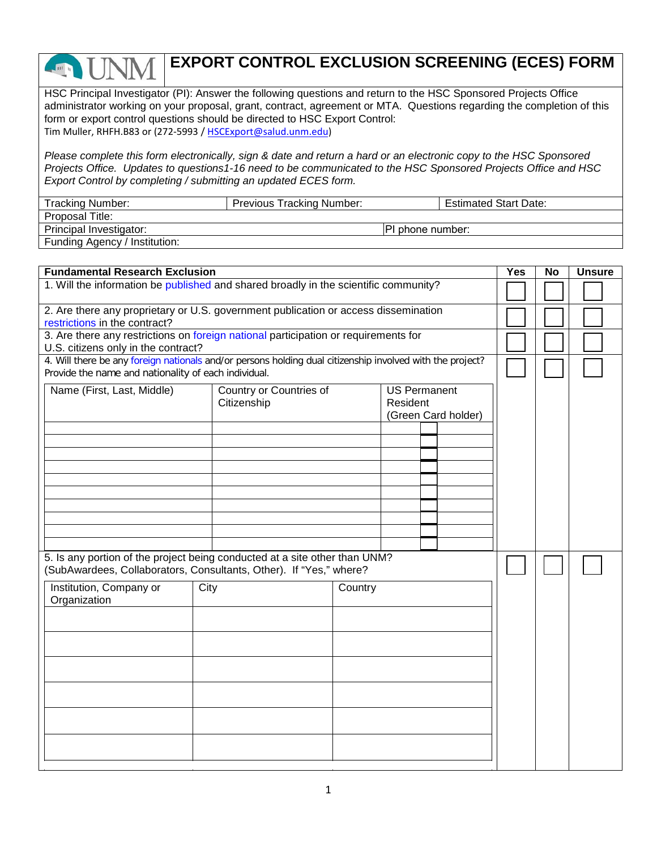## **EXPORT CONTROL EXCLUSION SCREENING (ECES) FORM**

HSC Principal Investigator (PI): Answer the following questions and return to the HSC Sponsored Projects Office administrator working on your proposal, grant, contract, agreement or MTA. Questions regarding the completion of this form or export control questions should be directed to HSC Export Control: Tim Muller, RHFH.B83 or (272-5993 / HSCExport@salud.unm.edu)

*Please complete this form electronically, sign & date and return a hard or an electronic copy to the HSC Sponsored Projects Office. Updates to questions1-16 need to be communicated to the HSC Sponsored Projects Office and HSC Export Control by completing / submitting an updated ECES form.* 

| <b>Tracking Number:</b>       | <b>Previous Tracking Number:</b> |                   | <b>Estimated Start Date:</b> |
|-------------------------------|----------------------------------|-------------------|------------------------------|
| Proposal Title:               |                                  |                   |                              |
| Principal Investigator:       |                                  | IPI phone number: |                              |
| Funding Agency / Institution: |                                  |                   |                              |

| <b>Fundamental Research Exclusion</b>                                                                                                                             |                    |                                        |  | <b>Yes</b>                                             | <b>No</b> | <b>Unsure</b> |  |  |  |
|-------------------------------------------------------------------------------------------------------------------------------------------------------------------|--------------------|----------------------------------------|--|--------------------------------------------------------|-----------|---------------|--|--|--|
| 1. Will the information be published and shared broadly in the scientific community?                                                                              |                    |                                        |  |                                                        |           |               |  |  |  |
| 2. Are there any proprietary or U.S. government publication or access dissemination<br>restrictions in the contract?                                              |                    |                                        |  |                                                        |           |               |  |  |  |
| 3. Are there any restrictions on foreign national participation or requirements for                                                                               |                    |                                        |  |                                                        |           |               |  |  |  |
| U.S. citizens only in the contract?                                                                                                                               |                    |                                        |  |                                                        |           |               |  |  |  |
| 4. Will there be any foreign nationals and/or persons holding dual citizenship involved with the project?<br>Provide the name and nationality of each individual. |                    |                                        |  |                                                        |           |               |  |  |  |
| Name (First, Last, Middle)                                                                                                                                        |                    | Country or Countries of<br>Citizenship |  | <b>US Permanent</b><br>Resident<br>(Green Card holder) |           |               |  |  |  |
|                                                                                                                                                                   |                    |                                        |  |                                                        |           |               |  |  |  |
|                                                                                                                                                                   |                    |                                        |  |                                                        |           |               |  |  |  |
|                                                                                                                                                                   |                    |                                        |  |                                                        |           |               |  |  |  |
|                                                                                                                                                                   |                    |                                        |  |                                                        |           |               |  |  |  |
|                                                                                                                                                                   |                    |                                        |  |                                                        |           |               |  |  |  |
|                                                                                                                                                                   |                    |                                        |  |                                                        |           |               |  |  |  |
| 5. Is any portion of the project being conducted at a site other than UNM?<br>(SubAwardees, Collaborators, Consultants, Other). If "Yes," where?                  |                    |                                        |  |                                                        |           |               |  |  |  |
| Institution, Company or<br>Organization                                                                                                                           | $\overline{C}$ ity | Country                                |  |                                                        |           |               |  |  |  |
|                                                                                                                                                                   |                    |                                        |  |                                                        |           |               |  |  |  |
|                                                                                                                                                                   |                    |                                        |  |                                                        |           |               |  |  |  |
|                                                                                                                                                                   |                    |                                        |  |                                                        |           |               |  |  |  |
|                                                                                                                                                                   |                    |                                        |  |                                                        |           |               |  |  |  |
|                                                                                                                                                                   |                    |                                        |  |                                                        |           |               |  |  |  |
|                                                                                                                                                                   |                    |                                        |  |                                                        |           |               |  |  |  |
|                                                                                                                                                                   |                    |                                        |  |                                                        |           |               |  |  |  |
|                                                                                                                                                                   |                    |                                        |  |                                                        |           |               |  |  |  |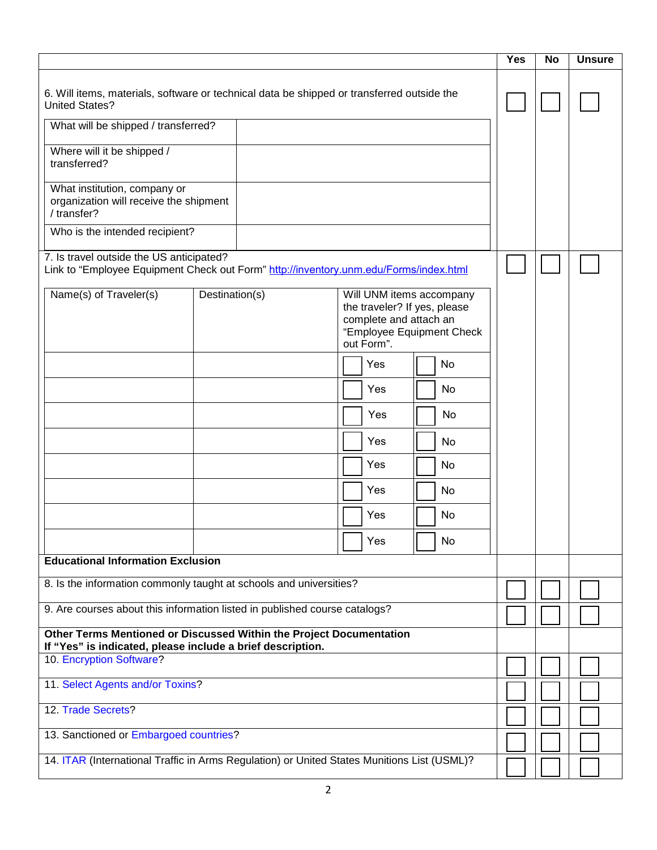|                                                                                                                                   |                                                                                                                                                 |            | <b>Yes</b> | <b>No</b> | <b>Unsure</b> |
|-----------------------------------------------------------------------------------------------------------------------------------|-------------------------------------------------------------------------------------------------------------------------------------------------|------------|------------|-----------|---------------|
| 6. Will items, materials, software or technical data be shipped or transferred outside the<br><b>United States?</b>               |                                                                                                                                                 |            |            |           |               |
| What will be shipped / transferred?                                                                                               |                                                                                                                                                 |            |            |           |               |
| Where will it be shipped /<br>transferred?                                                                                        |                                                                                                                                                 |            |            |           |               |
| What institution, company or<br>organization will receive the shipment<br>/ transfer?                                             |                                                                                                                                                 |            |            |           |               |
| Who is the intended recipient?                                                                                                    |                                                                                                                                                 |            |            |           |               |
| 7. Is travel outside the US anticipated?<br>Link to "Employee Equipment Check out Form" http://inventory.unm.edu/Forms/index.html |                                                                                                                                                 |            |            |           |               |
| Name(s) of Traveler(s)                                                                                                            | Destination(s)<br>Will UNM items accompany<br>the traveler? If yes, please<br>complete and attach an<br>"Employee Equipment Check<br>out Form". |            |            |           |               |
|                                                                                                                                   |                                                                                                                                                 | Yes<br>No  |            |           |               |
|                                                                                                                                   |                                                                                                                                                 | Yes<br>No. |            |           |               |
|                                                                                                                                   |                                                                                                                                                 | Yes<br>No  |            |           |               |
|                                                                                                                                   |                                                                                                                                                 | Yes<br>No. |            |           |               |
|                                                                                                                                   |                                                                                                                                                 | Yes<br>No  |            |           |               |
|                                                                                                                                   |                                                                                                                                                 | Yes<br>No  |            |           |               |
|                                                                                                                                   |                                                                                                                                                 | Yes<br>No  |            |           |               |
|                                                                                                                                   |                                                                                                                                                 | Yes<br>No  |            |           |               |
| <b>Educational Information Exclusion</b>                                                                                          |                                                                                                                                                 |            |            |           |               |
| 8. Is the information commonly taught at schools and universities?                                                                |                                                                                                                                                 |            |            |           |               |
| 9. Are courses about this information listed in published course catalogs?                                                        |                                                                                                                                                 |            |            |           |               |
| Other Terms Mentioned or Discussed Within the Project Documentation                                                               |                                                                                                                                                 |            |            |           |               |
| If "Yes" is indicated, please include a brief description.<br>10. Encryption Software?                                            |                                                                                                                                                 |            |            |           |               |
| 11. Select Agents and/or Toxins?                                                                                                  |                                                                                                                                                 |            |            |           |               |
| 12. Trade Secrets?                                                                                                                |                                                                                                                                                 |            |            |           |               |
| 13. Sanctioned or Embargoed countries?                                                                                            |                                                                                                                                                 |            |            |           |               |
| 14. ITAR (International Traffic in Arms Regulation) or United States Munitions List (USML)?                                       |                                                                                                                                                 |            |            |           |               |